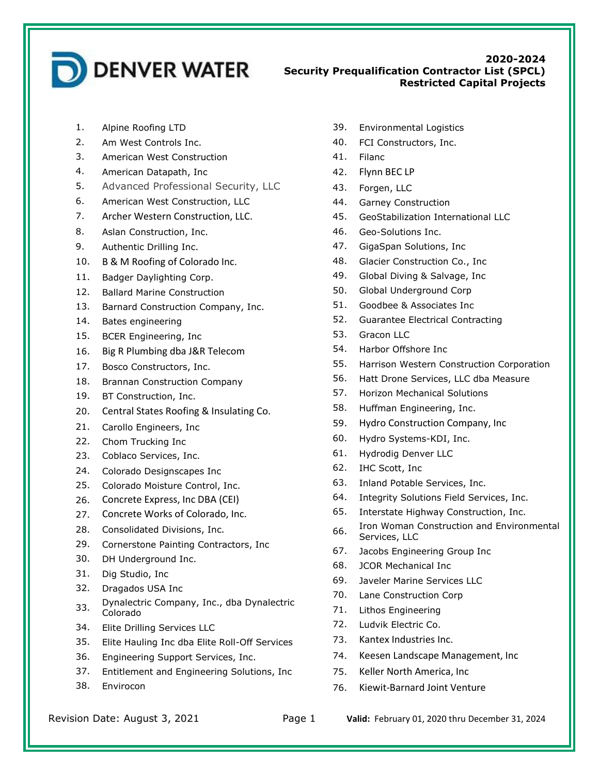

## **2020-2024 Security Prequalification Contractor List (SPCL) Restricted Capital Projects**

- 1. Alpine Roofing LTD
- 2. Am West Controls Inc.
- 3. American West Construction
- 4. American Datapath, Inc
- 5. Advanced Professional Security, LLC
- 6. American West Construction, LLC
- 7. Archer Western Construction, LLC.
- 8. Aslan Construction, Inc.
- 9. Authentic Drilling Inc.
- 10. B & M Roofing of Colorado Inc.
- 11. Badger Daylighting Corp.
- 12. Ballard Marine Construction
- 13. Barnard Construction Company, Inc.
- 14. Bates engineering
- 15. BCER Engineering, Inc
- 16. Big R Plumbing dba J&R Telecom
- 17. Bosco Constructors, Inc.
- 18. Brannan Construction Company
- 19. BT Construction, Inc.
- 20. Central States Roofing & Insulating Co.
- 21. Carollo Engineers, Inc
- 22. Chom Trucking Inc
- 23. Coblaco Services, Inc.
- 24. Colorado Designscapes Inc
- 25. Colorado Moisture Control, Inc.
- 26. Concrete Express, Inc DBA (CEI)
- 27. Concrete Works of Colorado, Inc.
- 28. Consolidated Divisions, Inc.
- 29. Cornerstone Painting Contractors, Inc
- 30. DH Underground Inc.
- 31. Dig Studio, Inc
- 32. Dragados USA Inc
- 33. Dynalectric Company, Inc., dba Dynalectric Colorado
- 34. Elite Drilling Services LLC
- 35. Elite Hauling Inc dba Elite Roll-Off Services
- 36. Engineering Support Services, Inc.
- 37. Entitlement and Engineering Solutions, Inc
- 38. Envirocon
- 39. Environmental Logistics
- 40. FCI Constructors, Inc.
- 41. Filanc
- 42. Flynn BEC LP
- 43. Forgen, LLC
- 44. Garney Construction
- 45. GeoStabilization International LLC
- 46. Geo-Solutions Inc.
- 47. GigaSpan Solutions, Inc
- 48. Glacier Construction Co., Inc
- 49. Global Diving & Salvage, Inc
- 50. Global Underground Corp
- 51. Goodbee & Associates Inc
- 52. Guarantee Electrical Contracting
- 53. Gracon LLC
- 54. Harbor Offshore Inc
- 55. Harrison Western Construction Corporation
- 56. Hatt Drone Services, LLC dba Measure
- 57. Horizon Mechanical Solutions
- 58. Huffman Engineering, Inc.
- 59. Hydro Construction Company, Inc
- 60. Hydro Systems-KDI, Inc.
- 61. Hydrodig Denver LLC
- 62. IHC Scott, Inc
- 63. Inland Potable Services, Inc.
- 64. Integrity Solutions Field Services, Inc.
- 65. Interstate Highway Construction, Inc.
- 66. Iron Woman Construction and Environmental Services, LLC
- 67. Jacobs Engineering Group Inc
- 68. JCOR Mechanical Inc
- 69. Javeler Marine Services LLC
- 70. Lane Construction Corp
- 71. Lithos Engineering
- 72. Ludvik Electric Co.
- 73. Kantex Industries Inc.
- 74. Keesen Landscape Management, Inc
- 75. Keller North America, Inc
- 76. Kiewit-Barnard Joint Venture

Revision Date: August 3, 2021 Page 1 **Valid:** February 01, 2020 thru December 31, 2024